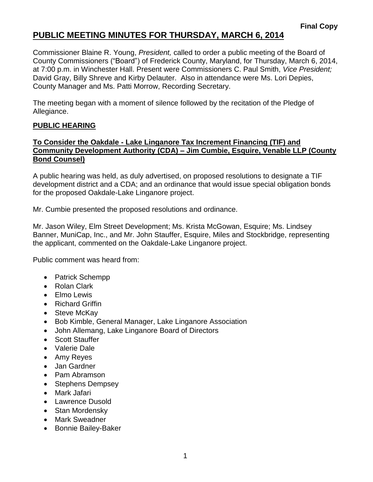# **PUBLIC MEETING MINUTES FOR THURSDAY, MARCH 6, 2014**

Commissioner Blaine R. Young, *President,* called to order a public meeting of the Board of County Commissioners ("Board") of Frederick County, Maryland, for Thursday, March 6, 2014, at 7:00 p.m. in Winchester Hall. Present were Commissioners C. Paul Smith, *Vice President;* David Gray, Billy Shreve and Kirby Delauter. Also in attendance were Ms. Lori Depies, County Manager and Ms. Patti Morrow, Recording Secretary.

The meeting began with a moment of silence followed by the recitation of the Pledge of Allegiance.

### **PUBLIC HEARING**

### **To Consider the Oakdale - Lake Linganore Tax Increment Financing (TIF) and Community Development Authority (CDA) – Jim Cumbie, Esquire, Venable LLP (County Bond Counsel)**

A public hearing was held, as duly advertised, on proposed resolutions to designate a TIF development district and a CDA; and an ordinance that would issue special obligation bonds for the proposed Oakdale-Lake Linganore project.

Mr. Cumbie presented the proposed resolutions and ordinance.

Mr. Jason Wiley, Elm Street Development; Ms. Krista McGowan, Esquire; Ms. Lindsey Banner, MuniCap, Inc., and Mr. John Stauffer, Esquire, Miles and Stockbridge, representing the applicant, commented on the Oakdale-Lake Linganore project.

Public comment was heard from:

- Patrick Schempp
- Rolan Clark
- Elmo Lewis
- Richard Griffin
- Steve McKay
- Bob Kimble, General Manager, Lake Linganore Association
- John Allemang, Lake Linganore Board of Directors
- Scott Stauffer
- Valerie Dale
- Amy Reyes
- Jan Gardner
- Pam Abramson
- Stephens Dempsey
- Mark Jafari
- Lawrence Dusold
- Stan Mordensky
- Mark Sweadner
- Bonnie Bailey-Baker